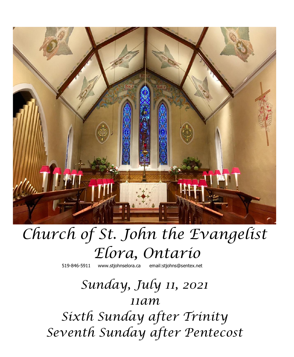

# *Church of St. John the Evangelist Elora, Ontario*

519-846-5911 [www.stjohnselora.ca email:stjohns@sentex.net](http://www.stjohnselora.ca%20%20%20%20%20%20email:stjohns@sentex.net)

## *Sunday, July 11, 2021 11am*

*Sixth Sunday after Trinity Seventh Sunday after Pentecost*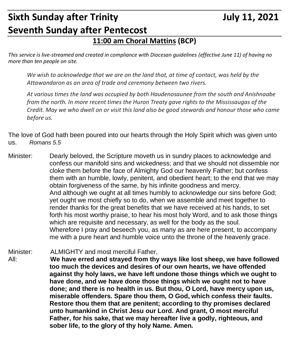## **Sixth Sunday after Trinity Sixth Sunday after Trinity Allows Are Accord Sulve 11, 2021 Seventh Sunday after Pentecost**

### **11:00 am Choral Mattins (BCP)**

*This service is live-streamed and created in compliance with Diocesan guidelines (effective June 11) of having no more than ten people on site.* 

*We wish to acknowledge that we are on the land that, at time of contact, was held by the Attawandaron as an area of trade and ceremony between two rivers.*

*At various times the land was occupied by both Haudenosaunee from the south and Anishnaabe from the north. In more recent times the Huron Treaty gave rights to the Mississaugas of the Credit. May we who dwell on or visit this land also be good stewards and honour those who came before us.*

The love of God hath been poured into our hearts through the Holy Spirit which was given unto us. *Romans 5.5*

Minister: Dearly beloved, the Scripture moveth us in sundry places to acknowledge and confess our manifold sins and wickedness; and that we should not dissemble nor cloke them before the face of Almighty God our heavenly Father; but confess them with an humble, lowly, penitent, and obedient heart; to the end that we may obtain forgiveness of the same, by his infinite goodness and mercy. And although we ought at all times humbly to acknowledge our sins before God; yet ought we most chiefly so to do, when we assemble and meet together to render thanks for the great benefits that we have received at his hands, to set forth his most worthy praise, to hear his most holy Word, and to ask those things which are requisite and necessary, as well for the body as the soul. Wherefore I pray and beseech you, as many as are here present, to accompany me with a pure heart and humble voice unto the throne of the heavenly grace.

Minister: ALMIGHTY and most merciful Father, All: **We have erred and strayed from thy ways like lost sheep, we have followed too much the devices and desires of our own hearts, we have offended against thy holy laws, we have left undone those things which we ought to have done, and we have done those things which we ought not to have done; and there is no health in us. But thou, O Lord, have mercy upon us, miserable offenders. Spare thou them, O God, which confess their faults. Restore thou them that are penitent; according to thy promises declared unto humankind in Christ Jesu our Lord. And grant, O most merciful Father, for his sake, that we may hereafter live a godly, righteous, and sober life, to the glory of thy holy Name. Amen.**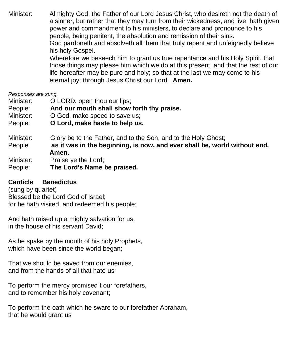Minister: Almighty God, the Father of our Lord Jesus Christ, who desireth not the death of a sinner, but rather that they may turn from their wickedness, and live, hath given power and commandment to his ministers, to declare and pronounce to his people, being penitent, the absolution and remission of their sins. God pardoneth and absolveth all them that truly repent and unfeignedly believe his holy Gospel. Wherefore we beseech him to grant us true repentance and his Holy Spirit, that those things may please him which we do at this present, and that the rest of our life hereafter may be pure and holy; so that at the last we may come to his

eternal joy; through Jesus Christ our Lord. **Amen.**

#### *Responses are sung.*

| Minister:            | O LORD, open thou our lips;                                                                                                                          |
|----------------------|------------------------------------------------------------------------------------------------------------------------------------------------------|
| People:              | And our mouth shall show forth thy praise.                                                                                                           |
| Minister:            | O God, make speed to save us;                                                                                                                        |
| People:              | O Lord, make haste to help us.                                                                                                                       |
| Minister:<br>People. | Glory be to the Father, and to the Son, and to the Holy Ghost;<br>as it was in the beginning, is now, and ever shall be, world without end.<br>Amen. |

- Minister: Praise ye the Lord;
- People: **The Lord's Name be praised.**

#### **Canticle Benedictus**

(sung by quartet) Blessed be the Lord God of Israel; for he hath visited, and redeemed his people;

And hath raised up a mighty salvation for us, in the house of his servant David;

As he spake by the mouth of his holy Prophets, which have been since the world began:

That we should be saved from our enemies, and from the hands of all that hate us;

To perform the mercy promised t our forefathers, and to remember his holy covenant;

To perform the oath which he sware to our forefather Abraham, that he would grant us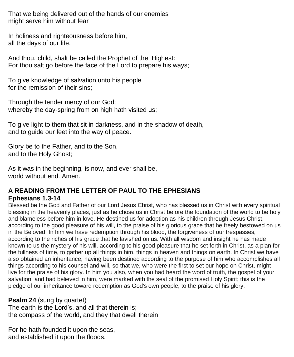That we being delivered out of the hands of our enemies might serve him without fear

In holiness and righteousness before him, all the days of our life.

And thou, child, shalt be called the Prophet of the Highest: For thou salt go before the face of the Lord to prepare his ways;

To give knowledge of salvation unto his people for the remission of their sins;

Through the tender mercy of our God; whereby the day-spring from on high hath visited us;

To give light to them that sit in darkness, and in the shadow of death, and to guide our feet into the way of peace.

Glory be to the Father, and to the Son, and to the Holy Ghost;

As it was in the beginning, is now, and ever shall be, world without end. Amen.

#### **A READING FROM THE LETTER OF PAUL TO THE EPHESIANS Ephesians 1.3-14**

Blessed be the God and Father of our Lord Jesus Christ, who has blessed us in Christ with every spiritual blessing in the heavenly places, just as he chose us in Christ before the foundation of the world to be holy and blameless before him in love. He destined us for adoption as his children through Jesus Christ, according to the good pleasure of his will, to the praise of his glorious grace that he freely bestowed on us in the Beloved. In him we have redemption through his blood, the forgiveness of our trespasses, according to the riches of his grace that he lavished on us. With all wisdom and insight he has made known to us the mystery of his will, according to his good pleasure that he set forth in Christ, as a plan for the fullness of time, to gather up all things in him, things in heaven and things on earth. In Christ we have also obtained an inheritance, having been destined according to the purpose of him who accomplishes all things according to his counsel and will, so that we, who were the first to set our hope on Christ, might live for the praise of his glory. In him you also, when you had heard the word of truth, the gospel of your salvation, and had believed in him, were marked with the seal of the promised Holy Spirit; this is the pledge of our inheritance toward redemption as God's own people, to the praise of his glory.

#### **Psalm 24** (sung by quartet)

The earth is the Lord's, and all that therein is; the compass of the world, and they that dwell therein.

For he hath founded it upon the seas, and established it upon the floods.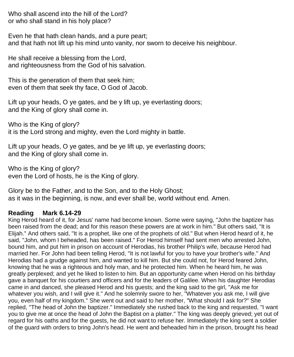Who shall ascend into the hill of the Lord? or who shall stand in his holy place?

Even he that hath clean hands, and a pure peart; and that hath not lift up his mind unto vanity, nor sworn to deceive his neighbour.

He shall receive a blessing from the Lord, and righteousness from the God of his salvation.

This is the generation of them that seek him; even of them that seek thy face, O God of Jacob.

Lift up your heads, O ye gates, and be y lift up, ye everlasting doors; and the King of glory shall come in.

Who is the King of glory? it is the Lord strong and mighty, even the Lord mighty in battle.

Lift up your heads, O ye gates, and be ye lift up, ye everlasting doors; and the King of glory shall come in.

Who is the King of glory? even the Lord of hosts, he is the King of glory.

Glory be to the Father, and to the Son, and to the Holy Ghost; as it was in the beginning, is now, and ever shall be, world without end. Amen.

#### **Reading Mark 6.14-29**

King Herod heard of it, for Jesus' name had become known. Some were saying, "John the baptizer has been raised from the dead; and for this reason these powers are at work in him." But others said, "It is Elijah." And others said, "It is a prophet, like one of the prophets of old." But when Herod heard of it, he said, "John, whom I beheaded, has been raised." For Herod himself had sent men who arrested John, bound him, and put him in prison on account of Herodias, his brother Philip's wife, because Herod had married her. For John had been telling Herod, "It is not lawful for you to have your brother's wife." And Herodias had a grudge against him, and wanted to kill him. But she could not, for Herod feared John, knowing that he was a righteous and holy man, and he protected him. When he heard him, he was greatly perplexed; and yet he liked to listen to him. But an opportunity came when Herod on his birthday gave a banquet for his courtiers and officers and for the leaders of Galilee. When his daughter Herodias came in and danced, she pleased Herod and his guests; and the king said to the girl, "Ask me for whatever you wish, and I will give it." And he solemnly swore to her, "Whatever you ask me, I will give you, even half of my kingdom." She went out and said to her mother, "What should I ask for?" She replied, "The head of John the baptizer." Immediately she rushed back to the king and requested, "I want you to give me at once the head of John the Baptist on a platter." The king was deeply grieved; yet out of regard for his oaths and for the guests, he did not want to refuse her. Immediately the king sent a soldier of the guard with orders to bring John's head. He went and beheaded him in the prison, brought his head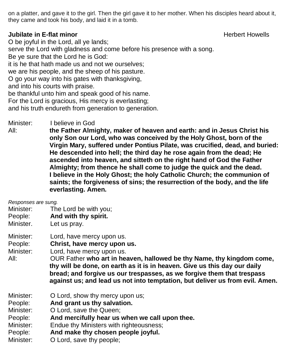on a platter, and gave it to the girl. Then the girl gave it to her mother. When his disciples heard about it, they came and took his body, and laid it in a tomb.

#### **Jubilate in E-flat minor All and Security Constanting Constanting Constanting Constanting Herbert Howells**

O be joyful in the Lord, all ye lands; serve the Lord with gladness and come before his presence with a song. Be ye sure that the Lord he is God: it is he that hath made us and not we ourselves; we are his people, and the sheep of his pasture. O go your way into his gates with thanksgiving, and into his courts with praise. be thankful unto him and speak good of his name. For the Lord is gracious, His mercy is everlasting; and his truth endureth from generation to generation.

Minister: I believe in God

All: **the Father Almighty, maker of heaven and earth: and in Jesus Christ his only Son our Lord, who was conceived by the Holy Ghost, born of the Virgin Mary, suffered under Pontius Pilate, was crucified, dead, and buried: He descended into hell; the third day he rose again from the dead; He ascended into heaven, and sitteth on the right hand of God the Father Almighty; from thence he shall come to judge the quick and the dead. I believe in the Holy Ghost; the holy Catholic Church; the communion of saints; the forgiveness of sins; the resurrection of the body, and the life everlasting. Amen.**

*Responses are sung.*

- Minister: The Lord be with you;
- People: **And with thy spirit.**
- Minister. Let us pray.
- Minister: Lord, have mercy upon us.

People: **Christ, have mercy upon us.**

Minister: Lord, have mercy upon us.

All: OUR Father **who art in heaven, hallowed be thy Name, thy kingdom come, thy will be done, on earth as it is in heaven. Give us this day our daily bread; and forgive us our trespasses, as we forgive them that trespass against us; and lead us not into temptation, but deliver us from evil. Amen.**

- Minister: O Lord, show thy mercy upon us;
- People: **And grant us thy salvation.**
- Minister: O Lord, save the Queen;
- People: **And mercifully hear us when we call upon thee.**
- Minister: Endue thy Ministers with righteousness;
- People: **And make thy chosen people joyful.**
- Minister: O Lord, save thy people;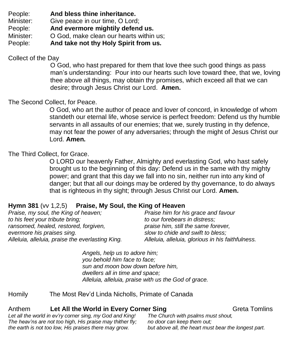People: **And bless thine inheritance.**

Minister: Give peace in our time, O Lord;

People: **And evermore mightily defend us.**

Minister: O God, make clean our hearts within us;

People: **And take not thy Holy Spirit from us.**

Collect of the Day

O God, who hast prepared for them that love thee such good things as pass man's understanding: Pour into our hearts such love toward thee, that we, loving thee above all things, may obtain thy promises, which exceed all that we can desire; through Jesus Christ our Lord. **Amen.**

### The Second Collect, for Peace.

O God, who art the author of peace and lover of concord, in knowledge of whom standeth our eternal life, whose service is perfect freedom: Defend us thy humble servants in all assaults of our enemies; that we, surely trusting in thy defence, may not fear the power of any adversaries; through the might of Jesus Christ our Lord. **Amen.**

#### The Third Collect, for Grace.

O LORD our heavenly Father, Almighty and everlasting God, who hast safely brought us to the beginning of this day: Defend us in the same with thy mighty power; and grant that this day we fall into no sin, neither run into any kind of danger; but that all our doings may be ordered by thy governance, to do always that is righteous in thy sight; through Jesus Christ our Lord. **Amen.**

#### **Hymn 381** (vv 1,2,5) **Praise, My Soul, the King of Heaven**

| Praise, my soul, the King of heaven;             | Praise him for his grace and favour               |
|--------------------------------------------------|---------------------------------------------------|
| to his feet your tribute bring;                  | to our forebears in distress;                     |
| ransomed, healed, restored, forgiven,            | praise him, still the same forever,               |
| evermore his praises sing.                       | slow to chide and swift to bless;                 |
| Alleluia, alleluia, praise the everlasting King. | Alleluia, alleluia, glorious in his faithfulness. |
|                                                  |                                                   |

*Angels, help us to adore him; you behold him face to face; sun and moon bow down before him, dwellers all in time and space; Alleluia, alleluia, praise with us the God of grace.*

Homily The Most Rev'd Linda Nicholls, Primate of Canada

#### Anthem **Let All the World in Every Corner Sing** Greta Tomlins

*Let all the world in ev'ry corner sing, my God and King! The heav'ns are not too high, His praise may thither fly; the earth is not too low, His praises there may grow.*

*The Church with psalms must shout, no door can keep them out; but above all, the heart must bear the longest part.*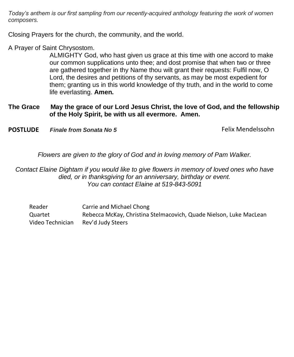*Today's anthem is our first sampling from our recently-acquired anthology featuring the work of women composers.*

Closing Prayers for the church, the community, and the world.

A Prayer of Saint Chrysostom.

ALMIGHTY God, who hast given us grace at this time with one accord to make our common supplications unto thee; and dost promise that when two or three are gathered together in thy Name thou wilt grant their requests: Fulfil now, O Lord, the desires and petitions of thy servants, as may be most expedient for them; granting us in this world knowledge of thy truth, and in the world to come life everlasting. **Amen.**

#### **The Grace May the grace of our Lord Jesus Christ, the love of God, and the fellowship of the Holy Spirit, be with us all evermore. Amen.**

**POSTLUDE** *Finale from Sonata No 5* Felix Mendelssohn

*Flowers are given to the glory of God and in loving memory of Pam Walker.*

*Contact Elaine Dightam if you would like to give flowers in memory of loved ones who have died, or in thanksgiving for an anniversary, birthday or event. You can contact Elaine at 519-843-5091*

Reader **Carrie and Michael Chong** Quartet Rebecca McKay, Christina Stelmacovich, Quade Nielson, Luke MacLean Video Technician Rev'd Judy Steers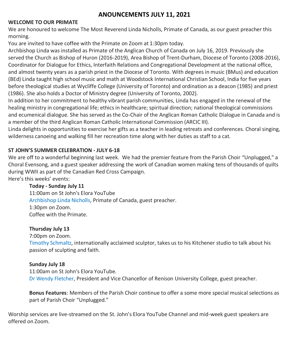#### **ANOUNCEMENTS JULY 11, 2021**

#### **WELCOME TO OUR PRIMATE**

We are honoured to welcome The Most Reverend Linda Nicholls, Primate of Canada, as our guest preacher this morning.

You are invited to have coffee with the Primate on Zoom at 1:30pm today.

Archbishop Linda was installed as Primate of the Anglican Church of Canada on July 16, 2019. Previously she served the Church as Bishop of Huron (2016-2019), Area Bishop of Trent-Durham, Diocese of Toronto (2008-2016), Coordinator for Dialogue for Ethics, Interfaith Relations and Congregational Development at the national office, and almost twenty years as a parish priest in the Diocese of Toronto. With degrees in music (BMus) and education (BEd) Linda taught high school music and math at Woodstock International Christian School, India for five years before theological studies at Wycliffe College (University of Toronto) and ordination as a deacon (1985) and priest (1986). She also holds a Doctor of Ministry degree (University of Toronto, 2002).

In addition to her commitment to healthy vibrant parish communities, Linda has engaged in the renewal of the healing ministry in congregational life; ethics in healthcare; spiritual direction; national theological commissions and ecumenical dialogue. She has served as the Co-Chair of the Anglican Roman Catholic Dialogue in Canada and is a member of the third Anglican Roman Catholic International Commission (ARCIC III).

Linda delights in opportunities to exercise her gifts as a teacher in leading retreats and conferences. Choral singing, wilderness canoeing and walking fill her recreation time along with her duties as staff to a cat.

#### **ST JOHN'S SUMMER CELEBRATION - JULY 6-18**

We are off to a wonderful beginning last week. We had the premier feature from the Parish Choir "Unplugged," a Choral Evensong, and a guest speaker addressing the work of Canadian women making tens of thousands of quilts during WWII as part of the Canadian Red Cross Campaign. Here's this weeks' events:

**Today - Sunday July 11**

11:00am on St John's Elora YouTube Archbishop Linda Nicholls, Primate of Canada, guest preacher. 1:30pm on Zoom. Coffee with the Primate.

#### **Thursday July 13**

7:00pm on Zoom.

Timothy Schmaltz, internationally acclaimed sculptor, takes us to his Kitchener studio to talk about his passion of sculpting and faith.

#### **Sunday July 18**

11:00am on St John's Elora YouTube. Dr Wendy Fletcher, President and Vice Chancellor of Renison University College, guest preacher.

**Bonus Features**: Members of the Parish Choir continue to offer a some more special musical selections as part of Parish Choir "Unplugged."

Worship services are live-streamed on the St. John's Elora YouTube Channel and mid-week guest speakers are offered on Zoom.